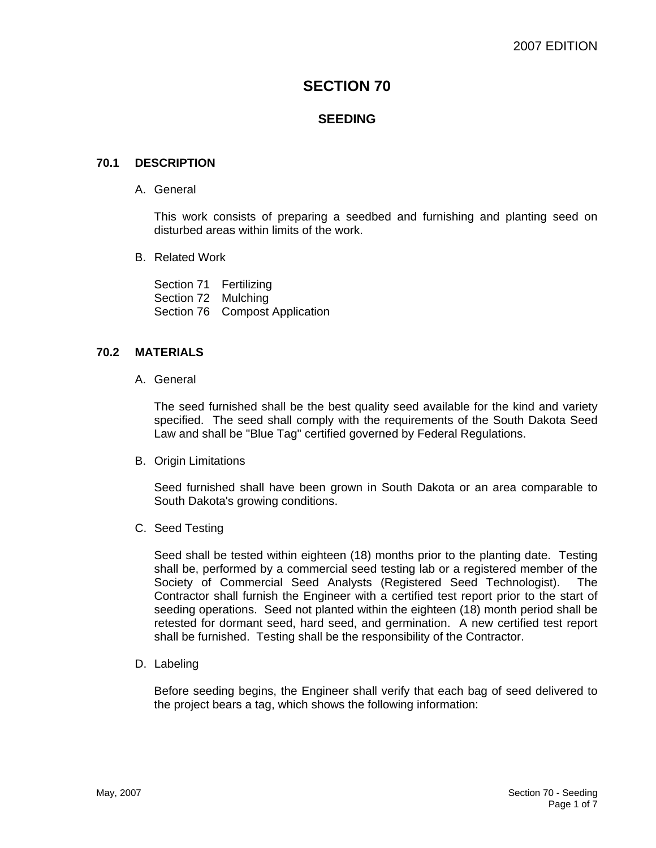# **SECTION 70**

# **SEEDING**

## **70.1 DESCRIPTION**

A. General

This work consists of preparing a seedbed and furnishing and planting seed on disturbed areas within limits of the work.

B. Related Work

Section 71 Fertilizing Section 72 Mulching Section 76 Compost Application

## **70.2 MATERIALS**

A. General

The seed furnished shall be the best quality seed available for the kind and variety specified. The seed shall comply with the requirements of the South Dakota Seed Law and shall be "Blue Tag" certified governed by Federal Regulations.

B. Origin Limitations

Seed furnished shall have been grown in South Dakota or an area comparable to South Dakota's growing conditions.

C. Seed Testing

Seed shall be tested within eighteen (18) months prior to the planting date. Testing shall be, performed by a commercial seed testing lab or a registered member of the Society of Commercial Seed Analysts (Registered Seed Technologist). The Contractor shall furnish the Engineer with a certified test report prior to the start of seeding operations. Seed not planted within the eighteen (18) month period shall be retested for dormant seed, hard seed, and germination. A new certified test report shall be furnished. Testing shall be the responsibility of the Contractor.

D. Labeling

Before seeding begins, the Engineer shall verify that each bag of seed delivered to the project bears a tag, which shows the following information: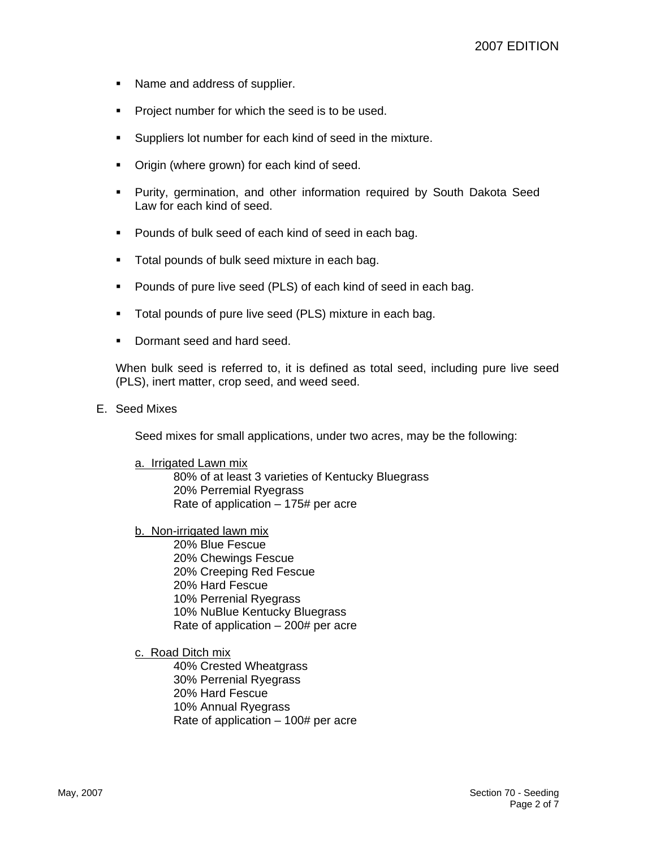- Name and address of supplier.
- **Project number for which the seed is to be used.**
- Suppliers lot number for each kind of seed in the mixture.
- Origin (where grown) for each kind of seed.
- Purity, germination, and other information required by South Dakota Seed Law for each kind of seed.
- **Pounds of bulk seed of each kind of seed in each bag.**
- **Total pounds of bulk seed mixture in each bag.**
- Pounds of pure live seed (PLS) of each kind of seed in each bag.
- **Total pounds of pure live seed (PLS) mixture in each bag.**
- Dormant seed and hard seed.

When bulk seed is referred to, it is defined as total seed, including pure live seed (PLS), inert matter, crop seed, and weed seed.

#### E. Seed Mixes

Seed mixes for small applications, under two acres, may be the following:

#### a. Irrigated Lawn mix

80% of at least 3 varieties of Kentucky Bluegrass 20% Perremial Ryegrass Rate of application – 175# per acre

b. Non-irrigated lawn mix

 20% Blue Fescue 20% Chewings Fescue 20% Creeping Red Fescue 20% Hard Fescue 10% Perrenial Ryegrass 10% NuBlue Kentucky Bluegrass Rate of application – 200# per acre

c. Road Ditch mix

 40% Crested Wheatgrass 30% Perrenial Ryegrass 20% Hard Fescue 10% Annual Ryegrass Rate of application – 100# per acre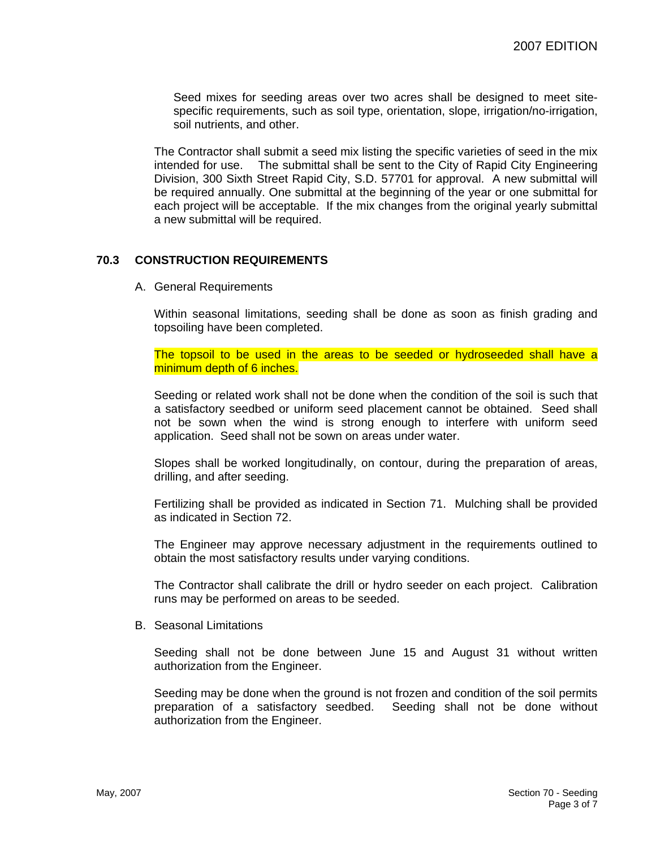Seed mixes for seeding areas over two acres shall be designed to meet sitespecific requirements, such as soil type, orientation, slope, irrigation/no-irrigation, soil nutrients, and other.

The Contractor shall submit a seed mix listing the specific varieties of seed in the mix intended for use. The submittal shall be sent to the City of Rapid City Engineering Division, 300 Sixth Street Rapid City, S.D. 57701 for approval. A new submittal will be required annually. One submittal at the beginning of the year or one submittal for each project will be acceptable. If the mix changes from the original yearly submittal a new submittal will be required.

## **70.3 CONSTRUCTION REQUIREMENTS**

A. General Requirements

Within seasonal limitations, seeding shall be done as soon as finish grading and topsoiling have been completed.

The topsoil to be used in the areas to be seeded or hydroseeded shall have a minimum depth of 6 inches.

Seeding or related work shall not be done when the condition of the soil is such that a satisfactory seedbed or uniform seed placement cannot be obtained. Seed shall not be sown when the wind is strong enough to interfere with uniform seed application. Seed shall not be sown on areas under water.

Slopes shall be worked longitudinally, on contour, during the preparation of areas, drilling, and after seeding.

Fertilizing shall be provided as indicated in Section 71. Mulching shall be provided as indicated in Section 72.

The Engineer may approve necessary adjustment in the requirements outlined to obtain the most satisfactory results under varying conditions.

The Contractor shall calibrate the drill or hydro seeder on each project. Calibration runs may be performed on areas to be seeded.

B. Seasonal Limitations

Seeding shall not be done between June 15 and August 31 without written authorization from the Engineer.

Seeding may be done when the ground is not frozen and condition of the soil permits preparation of a satisfactory seedbed. Seeding shall not be done without authorization from the Engineer.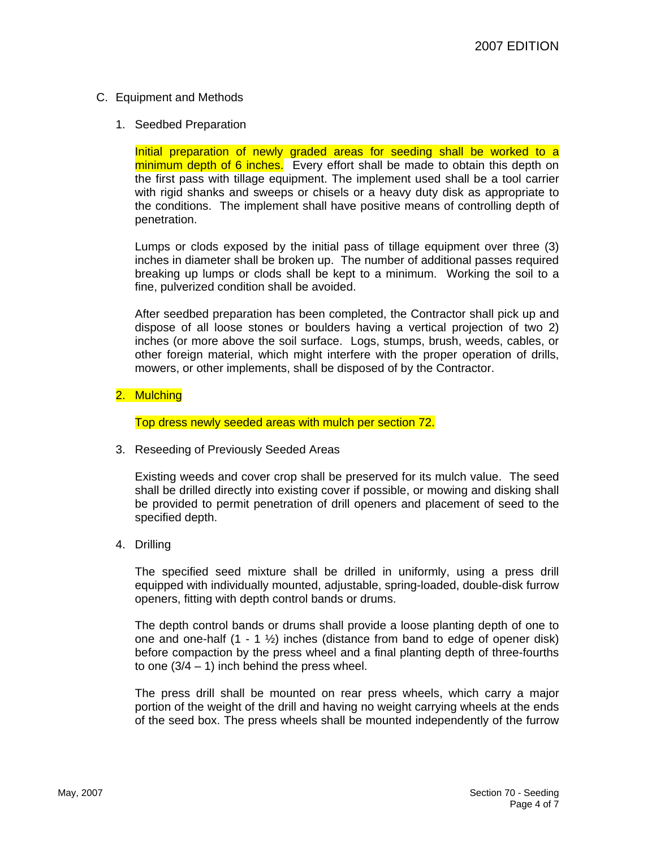## C. Equipment and Methods

1. Seedbed Preparation

Initial preparation of newly graded areas for seeding shall be worked to a minimum depth of 6 inches. Every effort shall be made to obtain this depth on the first pass with tillage equipment. The implement used shall be a tool carrier with rigid shanks and sweeps or chisels or a heavy duty disk as appropriate to the conditions. The implement shall have positive means of controlling depth of penetration.

Lumps or clods exposed by the initial pass of tillage equipment over three (3) inches in diameter shall be broken up. The number of additional passes required breaking up lumps or clods shall be kept to a minimum. Working the soil to a fine, pulverized condition shall be avoided.

After seedbed preparation has been completed, the Contractor shall pick up and dispose of all loose stones or boulders having a vertical projection of two 2) inches (or more above the soil surface. Logs, stumps, brush, weeds, cables, or other foreign material, which might interfere with the proper operation of drills, mowers, or other implements, shall be disposed of by the Contractor.

2. Mulching

Top dress newly seeded areas with mulch per section 72.

3. Reseeding of Previously Seeded Areas

Existing weeds and cover crop shall be preserved for its mulch value. The seed shall be drilled directly into existing cover if possible, or mowing and disking shall be provided to permit penetration of drill openers and placement of seed to the specified depth.

4. Drilling

The specified seed mixture shall be drilled in uniformly, using a press drill equipped with individually mounted, adjustable, spring-loaded, double-disk furrow openers, fitting with depth control bands or drums.

The depth control bands or drums shall provide a loose planting depth of one to one and one-half  $(1 - 1 \frac{1}{2})$  inches (distance from band to edge of opener disk) before compaction by the press wheel and a final planting depth of three-fourths to one  $(3/4 - 1)$  inch behind the press wheel.

The press drill shall be mounted on rear press wheels, which carry a major portion of the weight of the drill and having no weight carrying wheels at the ends of the seed box. The press wheels shall be mounted independently of the furrow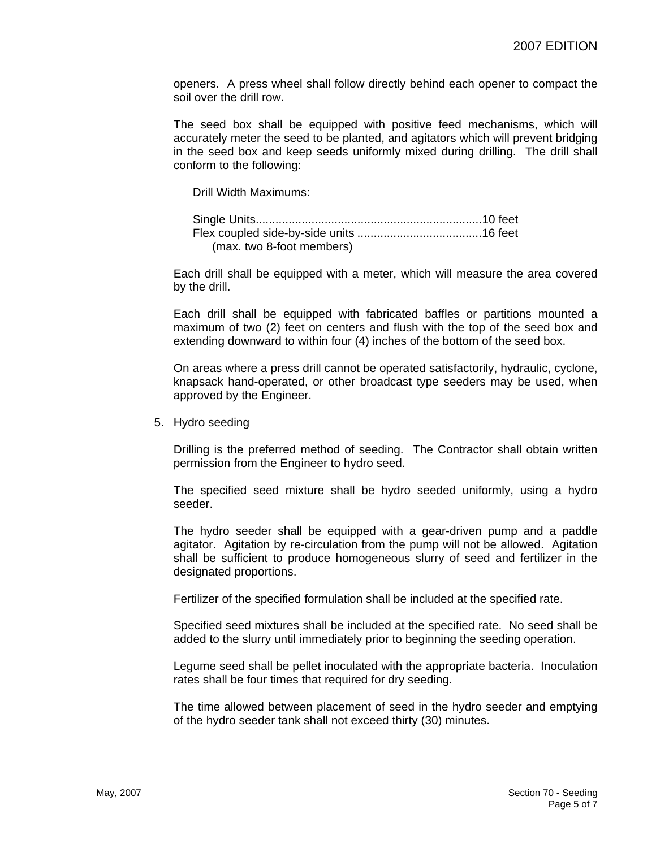openers. A press wheel shall follow directly behind each opener to compact the soil over the drill row.

The seed box shall be equipped with positive feed mechanisms, which will accurately meter the seed to be planted, and agitators which will prevent bridging in the seed box and keep seeds uniformly mixed during drilling. The drill shall conform to the following:

Drill Width Maximums:

| (max. two 8-foot members) |  |
|---------------------------|--|

Each drill shall be equipped with a meter, which will measure the area covered by the drill.

Each drill shall be equipped with fabricated baffles or partitions mounted a maximum of two (2) feet on centers and flush with the top of the seed box and extending downward to within four (4) inches of the bottom of the seed box.

On areas where a press drill cannot be operated satisfactorily, hydraulic, cyclone, knapsack hand-operated, or other broadcast type seeders may be used, when approved by the Engineer.

5. Hydro seeding

Drilling is the preferred method of seeding. The Contractor shall obtain written permission from the Engineer to hydro seed.

The specified seed mixture shall be hydro seeded uniformly, using a hydro seeder.

The hydro seeder shall be equipped with a gear-driven pump and a paddle agitator. Agitation by re-circulation from the pump will not be allowed. Agitation shall be sufficient to produce homogeneous slurry of seed and fertilizer in the designated proportions.

Fertilizer of the specified formulation shall be included at the specified rate.

Specified seed mixtures shall be included at the specified rate. No seed shall be added to the slurry until immediately prior to beginning the seeding operation.

Legume seed shall be pellet inoculated with the appropriate bacteria. Inoculation rates shall be four times that required for dry seeding.

The time allowed between placement of seed in the hydro seeder and emptying of the hydro seeder tank shall not exceed thirty (30) minutes.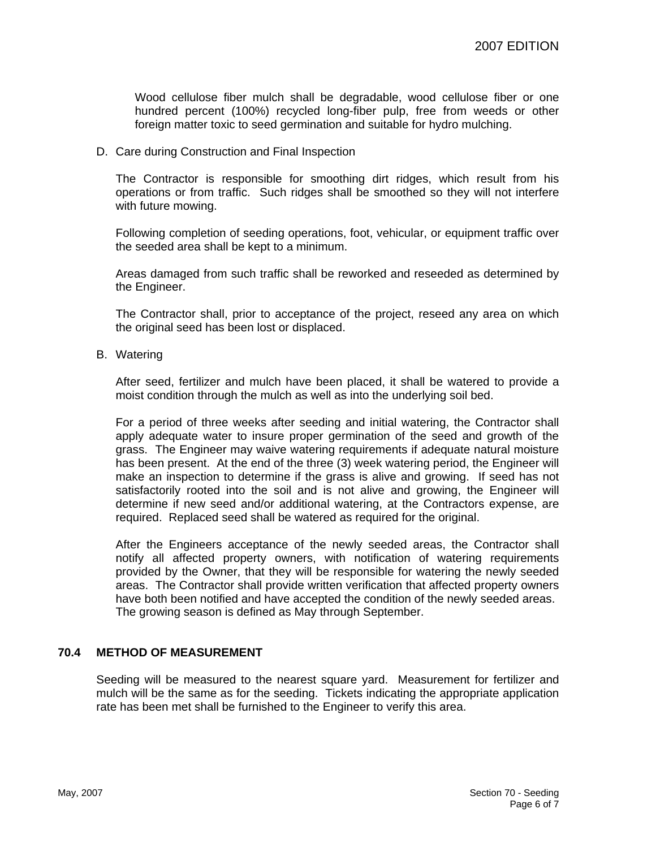Wood cellulose fiber mulch shall be degradable, wood cellulose fiber or one hundred percent (100%) recycled long-fiber pulp, free from weeds or other foreign matter toxic to seed germination and suitable for hydro mulching.

### D. Care during Construction and Final Inspection

The Contractor is responsible for smoothing dirt ridges, which result from his operations or from traffic. Such ridges shall be smoothed so they will not interfere with future mowing.

Following completion of seeding operations, foot, vehicular, or equipment traffic over the seeded area shall be kept to a minimum.

Areas damaged from such traffic shall be reworked and reseeded as determined by the Engineer.

The Contractor shall, prior to acceptance of the project, reseed any area on which the original seed has been lost or displaced.

B. Watering

After seed, fertilizer and mulch have been placed, it shall be watered to provide a moist condition through the mulch as well as into the underlying soil bed.

For a period of three weeks after seeding and initial watering, the Contractor shall apply adequate water to insure proper germination of the seed and growth of the grass. The Engineer may waive watering requirements if adequate natural moisture has been present. At the end of the three (3) week watering period, the Engineer will make an inspection to determine if the grass is alive and growing. If seed has not satisfactorily rooted into the soil and is not alive and growing, the Engineer will determine if new seed and/or additional watering, at the Contractors expense, are required. Replaced seed shall be watered as required for the original.

After the Engineers acceptance of the newly seeded areas, the Contractor shall notify all affected property owners, with notification of watering requirements provided by the Owner, that they will be responsible for watering the newly seeded areas. The Contractor shall provide written verification that affected property owners have both been notified and have accepted the condition of the newly seeded areas. The growing season is defined as May through September.

## **70.4 METHOD OF MEASUREMENT**

Seeding will be measured to the nearest square yard. Measurement for fertilizer and mulch will be the same as for the seeding. Tickets indicating the appropriate application rate has been met shall be furnished to the Engineer to verify this area.